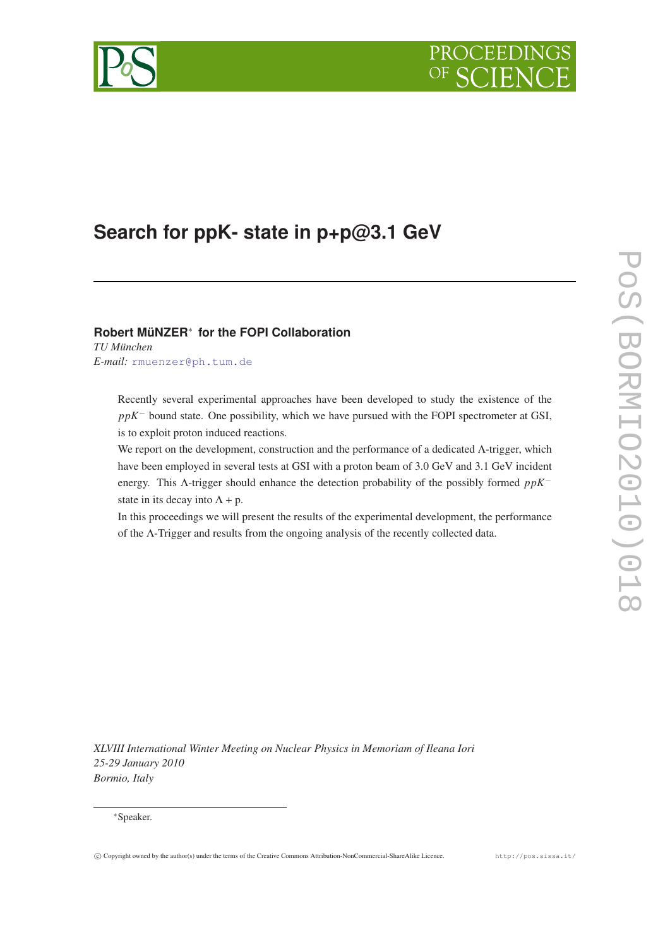# PROCEEDI

<span id="page-0-0"></span>

## **Search for ppK- state in p+p@3.1 GeV**

### **Robert MüNZER**<sup>∗</sup> **for the FOPI Collaboration**

*TU München E-mail:* [rmuenzer@ph.tum.de](mailto:rmuenzer@ph.tum.de)

> Recently several experimental approaches have been developed to study the existence of the *ppK*<sup>−</sup> bound state. One possibility, which we have pursued with the FOPI spectrometer at GSI, is to exploit proton induced reactions.

> We report on the development, construction and the performance of a dedicated Λ-trigger, which have been employed in several tests at GSI with a proton beam of 3.0 GeV and 3.1 GeV incident energy. This Λ-trigger should enhance the detection probability of the possibly formed *ppK*<sup>−</sup> state in its decay into  $\Lambda$  + p.

> In this proceedings we will present the results of the experimental development, the performance of the Λ-Trigger and results from the ongoing analysis of the recently collected data.

*XLVIII International Winter Meeting on Nuclear Physics in Memoriam of Ileana Iori 25-29 January 2010 Bormio, Italy*

#### <sup>∗</sup>Speaker.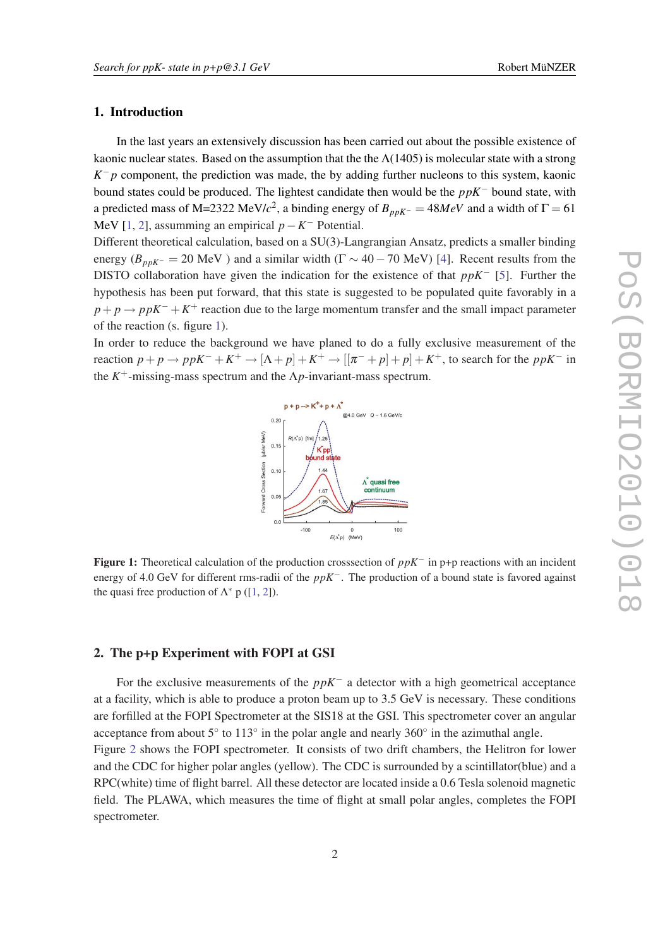#### 1. Introduction

In the last years an extensively discussion has been carried out about the possible existence of kaonic nuclear states. Based on the assumption that the the  $\Lambda(1405)$  is molecular state with a strong  $K^- p$  component, the prediction was made, the by adding further nucleons to this system, kaonic bound states could be produced. The lightest candidate then would be the *ppK*<sup>−</sup> bound state, with a predicted mass of M=2322 MeV/ $c^2$ , a binding energy of  $B_{ppK^-} = 48MeV$  and a width of  $\Gamma = 61$ MeV [\[1,](#page-0-0) [2](#page-0-0)], assumming an empirical *p*−*K* <sup>−</sup> Potential.

Different theoretical calculation, based on a SU(3)-Langrangian Ansatz, predicts a smaller binding energy ( $B_{ppK^-}$  = 20 MeV) and a similar width ( $\Gamma \sim 40 - 70$  MeV) [[4\]](#page-0-0). Recent results from the DISTO collaboration have given the indication for the existence of that *ppK*<sup>−</sup> [[5](#page-0-0)]. Further the hypothesis has been put forward, that this state is suggested to be populated quite favorably in a  $p + p \rightarrow ppK^- + K^+$  reaction due to the large momentum transfer and the small impact parameter of the reaction (s. figure 1).

In order to reduce the background we have planed to do a fully exclusive measurement of the reaction  $p + p \to ppK^- + K^+ \to [\Lambda + p] + K^+ \to [[\pi^- + p] + p] + K^+$ , to search for the  $ppK^-$  in the  $K^+$ -missing-mass spectrum and the  $\Lambda p$ -invariant-mass spectrum.



Figure 1: Theoretical calculation of the production crosssection of *ppK*<sup>−</sup> in p+p reactions with an incident energy of 4.0 GeV for different rms-radii of the *ppK*−. The production of a bound state is favored against the quasi free production of  $\Lambda^*$  p ([[1,](#page-0-0) [2\]](#page-0-0)).

#### 2. The p+p Experiment with FOPI at GSI

For the exclusive measurements of the *ppK*<sup>−</sup> a detector with a high geometrical acceptance at a facility, which is able to produce a proton beam up to 3.5 GeV is necessary. These conditions are forfilled at the FOPI Spectrometer at the SIS18 at the GSI. This spectrometer cover an angular acceptance from about  $5^\circ$  to  $113^\circ$  in the polar angle and nearly  $360^\circ$  in the azimuthal angle. Figure [2](#page-2-0) shows the FOPI spectrometer. It consists of two drift chambers, the Helitron for lower and the CDC for higher polar angles (yellow). The CDC is surrounded by a scintillator(blue) and a RPC(white) time of flight barrel. All these detector are located inside a 0.6 Tesla solenoid magnetic field. The PLAWA, which measures the time of flight at small polar angles, completes the FOPI spectrometer.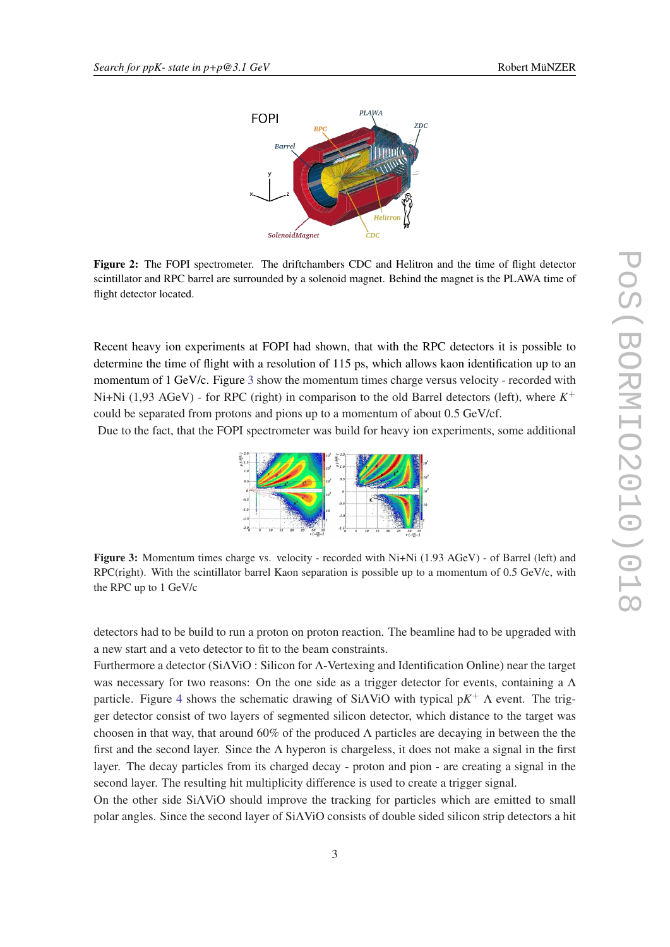<span id="page-2-0"></span>

Figure 2: The FOPI spectrometer. The driftchambers CDC and Helitron and the time of flight detector scintillator and RPC barrel are surrounded by a solenoid magnet. Behind the magnet is the PLAWA time of flight detector located.

Recent heavy ion experiments at FOPI had shown, that with the RPC detectors it is possible to determine the time of flight with a resolution of 115 ps, which allows kaon identification up to an momentum of 1 GeV/c. Figure 3 show the momentum times charge versus velocity - recorded with Ni+Ni (1,93 AGeV) - for RPC (right) in comparison to the old Barrel detectors (left), where  $K^+$ could be separated from protons and pions up to a momentum of about 0.5 GeV/cf.

Due to the fact, that the FOPI spectrometer was build for heavy ion experiments, some additional



Figure 3: Momentum times charge vs. velocity - recorded with Ni+Ni (1.93 AGeV) - of Barrel (left) and RPC(right). With the scintillator barrel Kaon separation is possible up to a momentum of  $0.5 \text{ GeV/c}$ , with the RPC up to 1 GeV/c

detectors had to be build to run a proton on proton reaction. The beamline had to be upgraded with a new start and a veto detector to fit to the beam constraints.

Furthermore a detector (SiΛViO : Silicon for Λ-Vertexing and Identification Online) near the target was necessary for two reasons: On the one side as a trigger detector for events, containing a Λ particle. Figure [4](#page-3-0) shows the schematic drawing of SiΛViO with typical p*K* <sup>+</sup> Λ event. The trigger detector consist of two layers of segmented silicon detector, which distance to the target was choosen in that way, that around 60% of the produced  $\Lambda$  particles are decaying in between the the first and the second layer. Since the  $\Lambda$  hyperon is chargeless, it does not make a signal in the first layer. The decay particles from its charged decay - proton and pion - are creating a signal in the second layer. The resulting hit multiplicity difference is used to create a trigger signal.

On the other side SiΛViO should improve the tracking for particles which are emitted to small polar angles. Since the second layer of SiΛViO consists of double sided silicon strip detectors a hit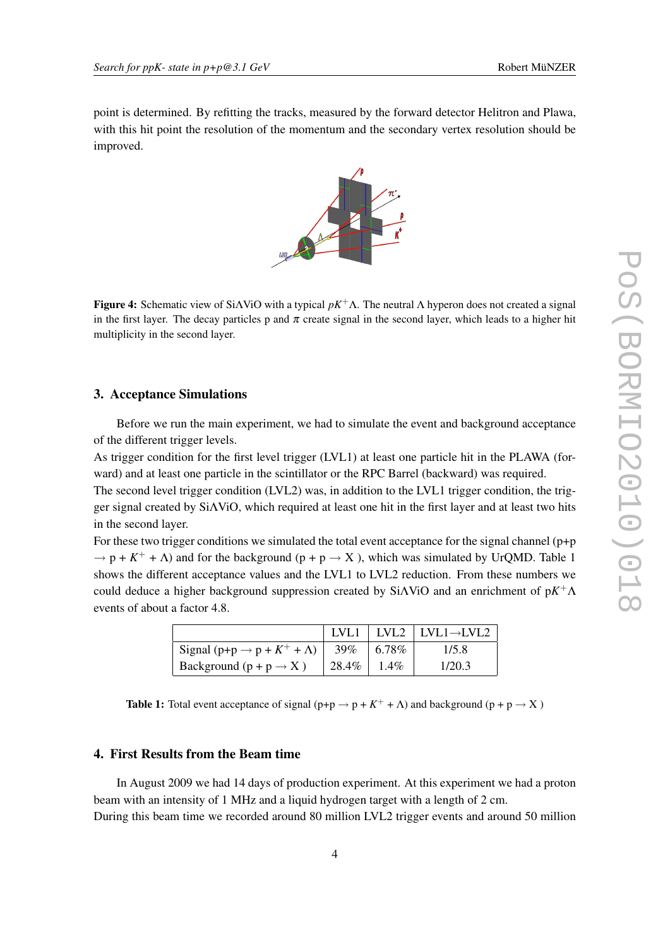<span id="page-3-0"></span>point is determined. By refitting the tracks, measured by the forward detector Helitron and Plawa, with this hit point the resolution of the momentum and the secondary vertex resolution should be improved.



**Figure 4:** Schematic view of SiAViO with a typical  $pK^+\Lambda$ . The neutral  $\Lambda$  hyperon does not created a signal in the first layer. The decay particles p and  $\pi$  create signal in the second layer, which leads to a higher hit multiplicity in the second layer.

#### 3. Acceptance Simulations

Before we run the main experiment, we had to simulate the event and background acceptance of the different trigger levels.

As trigger condition for the first level trigger (LVL1) at least one particle hit in the PLAWA (forward) and at least one particle in the scintillator or the RPC Barrel (backward) was required.

The second level trigger condition (LVL2) was, in addition to the LVL1 trigger condition, the trigger signal created by SiΛViO, which required at least one hit in the first layer and at least two hits in the second layer.

For these two trigger conditions we simulated the total event acceptance for the signal channel (p+p  $\rightarrow$  p + K<sup>+</sup> +  $\Lambda$ ) and for the background (p + p  $\rightarrow$  X), which was simulated by UrQMD. Table 1 shows the different acceptance values and the LVL1 to LVL2 reduction. From these numbers we could deduce a higher background suppression created by SiΛViO and an enrichment of p*K* <sup>+</sup>Λ events of about a factor 4.8.

|                                                            |       |           | LVL1   LVL2   LVL1 $\rightarrow$ LVL2 |
|------------------------------------------------------------|-------|-----------|---------------------------------------|
| Signal (p+p $\rightarrow$ p + K <sup>+</sup> + $\Lambda$ ) | 39%   | $ 6.78\%$ | 1/5.8                                 |
| Background $(p + p \rightarrow X)$                         | 28.4% | $1.4\%$   | 1/20.3                                |

**Table 1:** Total event acceptance of signal  $(p+p \rightarrow p + K^+ + \Lambda)$  and background  $(p+p \rightarrow X)$ 

#### 4. First Results from the Beam time

In August 2009 we had 14 days of production experiment. At this experiment we had a proton beam with an intensity of 1 MHz and a liquid hydrogen target with a length of 2 cm. During this beam time we recorded around 80 million LVL2 trigger events and around 50 million